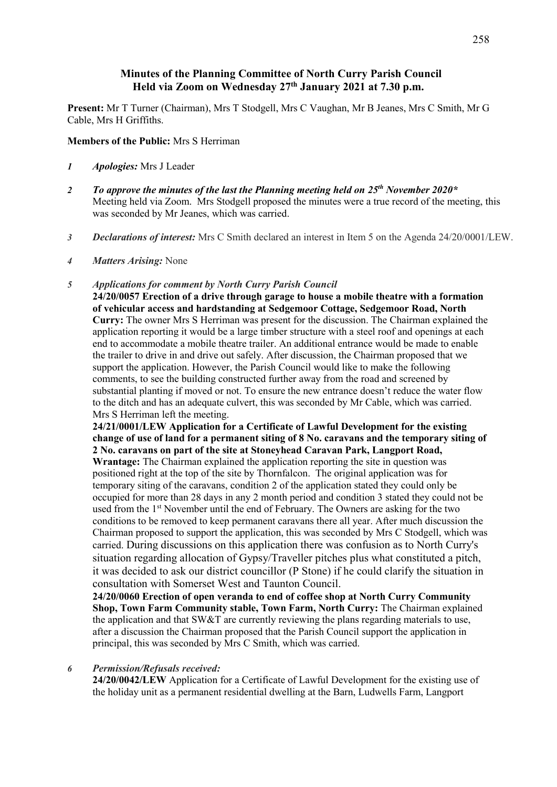# **Minutes of the Planning Committee of North Curry Parish Council Held via Zoom on Wednesday 27th January 2021 at 7.30 p.m.**

**Present:** Mr T Turner (Chairman), Mrs T Stodgell, Mrs C Vaughan, Mr B Jeanes, Mrs C Smith, Mr G Cable, Mrs H Griffiths.

**Members of the Public:** Mrs S Herriman

- *1 Apologies:* Mrs J Leader
- *2 To approve the minutes of the last the Planning meeting held on 25th November 2020\**  Meeting held via Zoom. Mrs Stodgell proposed the minutes were a true record of the meeting, this was seconded by Mr Jeanes, which was carried.
- *3 Declarations of interest:* Mrs C Smith declared an interest in Item 5 on the Agenda 24/20/0001/LEW.
- *4 Matters Arising:* None

## *5 Applications for comment by North Curry Parish Council*

**24/20/0057 Erection of a drive through garage to house a mobile theatre with a formation of vehicular access and hardstanding at Sedgemoor Cottage, Sedgemoor Road, North Curry:** The owner Mrs S Herriman was present for the discussion. The Chairman explained the application reporting it would be a large timber structure with a steel roof and openings at each end to accommodate a mobile theatre trailer. An additional entrance would be made to enable the trailer to drive in and drive out safely. After discussion, the Chairman proposed that we support the application. However, the Parish Council would like to make the following comments, to see the building constructed further away from the road and screened by substantial planting if moved or not. To ensure the new entrance doesn't reduce the water flow to the ditch and has an adequate culvert, this was seconded by Mr Cable, which was carried. Mrs S Herriman left the meeting.

**24/21/0001/LEW Application for a Certificate of Lawful Development for the existing change of use of land for a permanent siting of 8 No. caravans and the temporary siting of 2 No. caravans on part of the site at Stoneyhead Caravan Park, Langport Road,** 

**Wrantage:** The Chairman explained the application reporting the site in question was positioned right at the top of the site by Thornfalcon. The original application was for temporary siting of the caravans, condition 2 of the application stated they could only be occupied for more than 28 days in any 2 month period and condition 3 stated they could not be used from the 1st November until the end of February. The Owners are asking for the two conditions to be removed to keep permanent caravans there all year. After much discussion the Chairman proposed to support the application, this was seconded by Mrs C Stodgell, which was carried. During discussions on this application there was confusion as to North Curry's situation regarding allocation of Gypsy/Traveller pitches plus what constituted a pitch, it was decided to ask our district councillor (P Stone) if he could clarify the situation in consultation with Somerset West and Taunton Council.

**24/20/0060 Erection of open veranda to end of coffee shop at North Curry Community Shop, Town Farm Community stable, Town Farm, North Curry:** The Chairman explained the application and that SW&T are currently reviewing the plans regarding materials to use, after a discussion the Chairman proposed that the Parish Council support the application in principal, this was seconded by Mrs C Smith, which was carried.

#### *6 Permission/Refusals received:*

**24/20/0042/LEW** Application for a Certificate of Lawful Development for the existing use of the holiday unit as a permanent residential dwelling at the Barn, Ludwells Farm, Langport